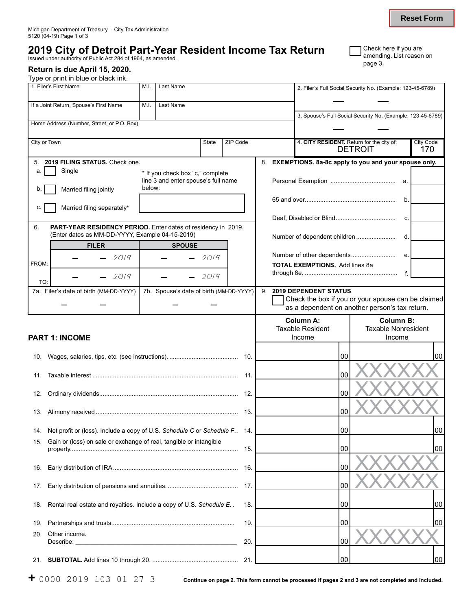## **2019 City of Detroit Part-Year Resident Income Tax Return** Check here if you are

amending. List reason on ISSued under authority of Public Act 284 of 1964, as amended.<br>Issued under authority of Public Act 284 of 1964, as amended.

## **Return is due April 15, 2020.**

Type or print in blue or black ink.

|                                                                                                                              | 1. Filer's First Name                                                                                                                                    | M.I.<br>Last Name |               |          |     |                                                                                                                                  | 2. Filer's Full Social Security No. (Example: 123-45-6789) |                                                             |                         |  |
|------------------------------------------------------------------------------------------------------------------------------|----------------------------------------------------------------------------------------------------------------------------------------------------------|-------------------|---------------|----------|-----|----------------------------------------------------------------------------------------------------------------------------------|------------------------------------------------------------|-------------------------------------------------------------|-------------------------|--|
| If a Joint Return, Spouse's First Name<br>Last Name<br>M.I.                                                                  |                                                                                                                                                          |                   |               |          |     |                                                                                                                                  |                                                            |                                                             |                         |  |
|                                                                                                                              | Home Address (Number, Street, or P.O. Box)                                                                                                               |                   |               |          |     |                                                                                                                                  |                                                            | 3. Spouse's Full Social Security No. (Example: 123-45-6789) |                         |  |
| City or Town<br>ZIP Code<br>State                                                                                            |                                                                                                                                                          |                   |               |          |     |                                                                                                                                  | 4. CITY RESIDENT. Return for the city of:                  | <b>DETROIT</b>                                              | <b>City Code</b><br>170 |  |
|                                                                                                                              |                                                                                                                                                          |                   |               |          |     |                                                                                                                                  |                                                            | 8. EXEMPTIONS. 8a-8c apply to you and your spouse only.     |                         |  |
| 5. 2019 FILING STATUS. Check one.<br>Single<br>a.<br>* If you check box "c," complete<br>line 3 and enter spouse's full name |                                                                                                                                                          |                   |               |          |     |                                                                                                                                  |                                                            |                                                             |                         |  |
| below:<br>Married filing jointly<br>b.                                                                                       |                                                                                                                                                          |                   |               | b.<br>C. |     |                                                                                                                                  |                                                            |                                                             |                         |  |
| Married filing separately*<br>С.                                                                                             |                                                                                                                                                          |                   |               |          |     |                                                                                                                                  |                                                            |                                                             |                         |  |
| 6.<br>PART-YEAR RESIDENCY PERIOD. Enter dates of residency in 2019.<br>(Enter dates as MM-DD-YYYY, Example 04-15-2019)       |                                                                                                                                                          |                   |               |          |     |                                                                                                                                  |                                                            |                                                             |                         |  |
|                                                                                                                              | <b>FILER</b>                                                                                                                                             |                   | <b>SPOUSE</b> |          |     |                                                                                                                                  | Number of dependent children                               | d.                                                          |                         |  |
|                                                                                                                              | 2019                                                                                                                                                     |                   |               | 2019     |     |                                                                                                                                  | Number of other dependents                                 | e.                                                          |                         |  |
| FROM:                                                                                                                        | 2019                                                                                                                                                     |                   |               | 2019     |     |                                                                                                                                  | <b>TOTAL EXEMPTIONS.</b> Add lines 8a                      | f.                                                          |                         |  |
| TO:                                                                                                                          |                                                                                                                                                          |                   |               |          |     |                                                                                                                                  |                                                            |                                                             |                         |  |
|                                                                                                                              | 7a. Filer's date of birth (MM-DD-YYYY)<br>7b. Spouse's date of birth (MM-DD-YYYY)                                                                        |                   |               |          |     | 9. 2019 DEPENDENT STATUS<br>Check the box if you or your spouse can be claimed<br>as a dependent on another person's tax return. |                                                            |                                                             |                         |  |
|                                                                                                                              | <b>PART 1: INCOME</b>                                                                                                                                    |                   |               |          |     |                                                                                                                                  | <b>Column A:</b><br><b>Taxable Resident</b><br>Income      | <b>Column B:</b><br><b>Taxable Nonresident</b><br>Income    |                         |  |
| 10.                                                                                                                          |                                                                                                                                                          |                   |               |          | 10. |                                                                                                                                  | 00                                                         |                                                             | 00                      |  |
| 11.                                                                                                                          |                                                                                                                                                          |                   |               |          | 11. |                                                                                                                                  | 00                                                         |                                                             |                         |  |
| 12.                                                                                                                          |                                                                                                                                                          |                   |               |          |     |                                                                                                                                  | 00                                                         |                                                             |                         |  |
|                                                                                                                              |                                                                                                                                                          |                   |               |          | 13. |                                                                                                                                  | 00                                                         |                                                             |                         |  |
| 14.                                                                                                                          | Net profit or (loss). Include a copy of U.S. Schedule C or Schedule F 14.                                                                                |                   |               |          |     |                                                                                                                                  | <b>OO</b>                                                  |                                                             | <sub>00</sub>           |  |
| 15.                                                                                                                          | Gain or (loss) on sale or exchange of real, tangible or intangible                                                                                       |                   |               |          | 15. |                                                                                                                                  | 00                                                         |                                                             | 00                      |  |
| 16.                                                                                                                          |                                                                                                                                                          |                   |               |          | 16. |                                                                                                                                  | 00                                                         |                                                             |                         |  |
| 17.                                                                                                                          |                                                                                                                                                          |                   |               |          |     |                                                                                                                                  | 00                                                         |                                                             |                         |  |
| 18.                                                                                                                          | Rental real estate and royalties. Include a copy of U.S. Schedule E.                                                                                     |                   |               |          | 18. |                                                                                                                                  | 00                                                         |                                                             | 00                      |  |
| 19.                                                                                                                          | 19.                                                                                                                                                      |                   |               |          |     | 00                                                                                                                               |                                                            | 00                                                          |                         |  |
| 20.                                                                                                                          | Other income.<br>Describe:<br>20.<br><u> 1989 - Johann Barbara, martxa alemaniar argumento estas alemaniar alemaniar alemaniar alemaniar alemaniar a</u> |                   |               |          |     |                                                                                                                                  | 00                                                         |                                                             |                         |  |
| 21.                                                                                                                          |                                                                                                                                                          |                   |               |          | 21. |                                                                                                                                  | 00                                                         |                                                             | 00                      |  |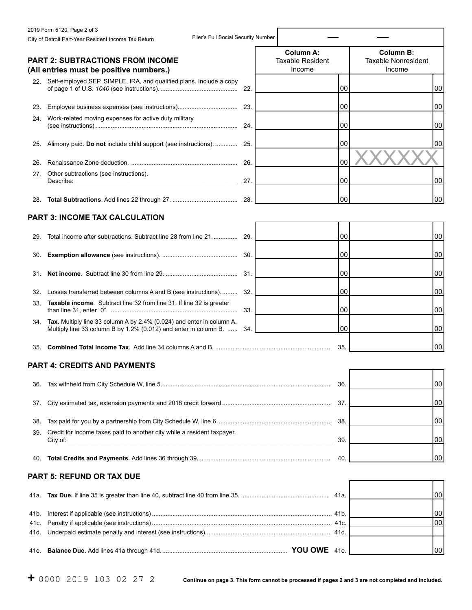|      | 2019 Form 5120, Page 2 of 3                                                                                                                        |     |                                             |     |                                                |    |
|------|----------------------------------------------------------------------------------------------------------------------------------------------------|-----|---------------------------------------------|-----|------------------------------------------------|----|
|      | Filer's Full Social Security Number<br>City of Detroit Part-Year Resident Income Tax Return                                                        |     |                                             |     |                                                |    |
|      | <b>PART 2: SUBTRACTIONS FROM INCOME</b>                                                                                                            |     | <b>Column A:</b><br><b>Taxable Resident</b> |     | <b>Column B:</b><br><b>Taxable Nonresident</b> |    |
|      | (All entries must be positive numbers.)                                                                                                            |     | Income                                      |     | Income                                         |    |
|      | 22. Self-employed SEP, SIMPLE, IRA, and qualified plans. Include a copy                                                                            | 22. |                                             | 00  |                                                | 00 |
|      | 23. Employee business expenses (see instructions)                                                                                                  | 23. |                                             | 00  |                                                | 00 |
|      | 24. Work-related moving expenses for active duty military                                                                                          | 24. |                                             | 00  |                                                | 00 |
|      | 25. Alimony paid. Do not include child support (see instructions).                                                                                 | 25. |                                             | 00  |                                                | 00 |
| 26.  |                                                                                                                                                    | 26. |                                             | 00  |                                                |    |
| 27.  | Other subtractions (see instructions).                                                                                                             | 27. |                                             | 00  |                                                | 00 |
|      |                                                                                                                                                    | 28. |                                             | 00  |                                                | 00 |
|      | <b>PART 3: INCOME TAX CALCULATION</b>                                                                                                              |     |                                             |     |                                                |    |
|      | 29. Total income after subtractions. Subtract line 28 from line 21                                                                                 | 29. |                                             | 00  |                                                | 00 |
| 30.  |                                                                                                                                                    | 30. |                                             | 00  |                                                | 00 |
| 31.  |                                                                                                                                                    | 31. |                                             | 00  |                                                | 00 |
|      | 32. Losses transferred between columns A and B (see instructions)                                                                                  | 32. |                                             | 00  |                                                | 00 |
|      | 33. Taxable income. Subtract line 32 from line 31. If line 32 is greater                                                                           | 33. |                                             | 00  |                                                | 00 |
|      | 34. Tax. Multiply line 33 column A by 2.4% (0.024) and enter in column A.<br>Multiply line 33 column B by 1.2% (0.012) and enter in column B.      | 34. |                                             | 00  |                                                | 00 |
|      |                                                                                                                                                    |     |                                             | 35. |                                                | 00 |
|      | <b>PART 4: CREDITS AND PAYMENTS</b>                                                                                                                |     |                                             |     |                                                |    |
| 36.  |                                                                                                                                                    |     |                                             | 36. |                                                | 00 |
| 37.  |                                                                                                                                                    |     |                                             | 37. |                                                | 00 |
| 38.  |                                                                                                                                                    |     |                                             | 38. |                                                | 00 |
| 39.  | Credit for income taxes paid to another city while a resident taxpayer.<br>City of:<br><u> 1989 - Johann John Stone, markin fizikar (h. 1982).</u> |     |                                             | 39. |                                                | 00 |
| 40.  |                                                                                                                                                    |     |                                             |     |                                                | 00 |
|      | <b>PART 5: REFUND OR TAX DUE</b>                                                                                                                   |     |                                             |     |                                                |    |
| 41a. |                                                                                                                                                    |     |                                             |     |                                                | 00 |
| 41b. |                                                                                                                                                    |     |                                             |     |                                                | 00 |
| 41c. |                                                                                                                                                    |     |                                             |     |                                                | 00 |
| 41d. |                                                                                                                                                    |     |                                             |     |                                                |    |
| 41e. |                                                                                                                                                    |     |                                             |     |                                                | 00 |